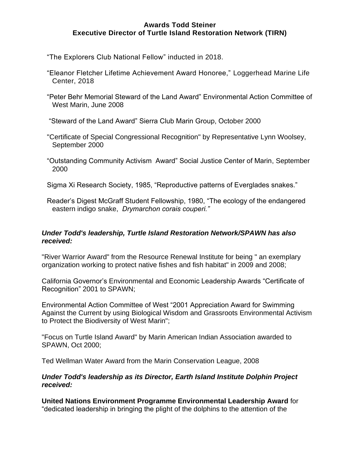## **Awards Todd Steiner Executive Director of Turtle Island Restoration Network (TIRN)**

"The Explorers Club National Fellow" inducted in 2018.

- "Eleanor Fletcher Lifetime Achievement Award Honoree," Loggerhead Marine Life Center, 2018
- "Peter Behr Memorial Steward of the Land Award" Environmental Action Committee of West Marin, June 2008

"Steward of the Land Award" Sierra Club Marin Group, October 2000

- "Certificate of Special Congressional Recognition" by Representative Lynn Woolsey, September 2000
- "Outstanding Community Activism Award" Social Justice Center of Marin, September 2000

Sigma Xi Research Society, 1985, "Reproductive patterns of Everglades snakes."

Reader's Digest McGraff Student Fellowship, 1980, "The ecology of the endangered eastern indigo snake, *Drymarchon corais couperi."* 

## *Under Todd's leadership, Turtle Island Restoration Network/SPAWN has also received:*

"River Warrior Award" from the Resource Renewal Institute for being " an exemplary organization working to protect native fishes and fish habitat" in 2009 and 2008;

California Governor's Environmental and Economic Leadership Awards "Certificate of Recognition" 2001 to SPAWN;

Environmental Action Committee of West "2001 Appreciation Award for Swimming Against the Current by using Biological Wisdom and Grassroots Environmental Activism to Protect the Biodiversity of West Marin";

"Focus on Turtle Island Award" by Marin American Indian Association awarded to SPAWN, Oct 2000;

Ted Wellman Water Award from the Marin Conservation League, 2008

*Under Todd's leadership as its Director, Earth Island Institute Dolphin Project received:* 

**United Nations Environment Programme Environmental Leadership Award** for "dedicated leadership in bringing the plight of the dolphins to the attention of the